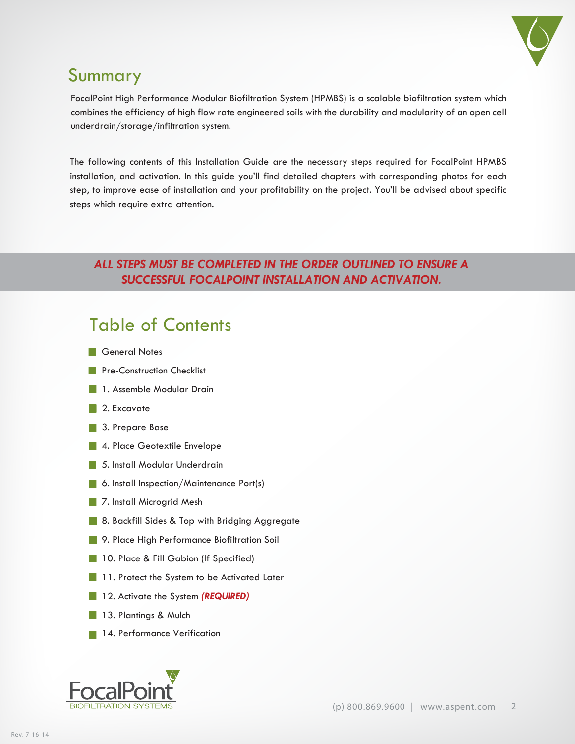

## Summary

FocalPoint High Performance Modular Biofiltration System (HPMBS) is a scalable biofiltration system which combines the efficiency of high flow rate engineered soils with the durability and modularity of an open cell underdrain/storage/infiltration system.

The following contents of this Installation Guide are the necessary steps required for FocalPoint HPMBS installation, and activation. In this guide you'll find detailed chapters with corresponding photos for each step, to improve ease of installation and your profitability on the project. You'll be advised about specific steps which require extra attention.

## *ALL STEPS MUST BE COMPLETED IN THE ORDER OUTLINED TO ENSURE A SUCCESSFUL FOCALPOINT INSTALLATION AND ACTIVATION.*

## Table of Contents

- **General Notes**
- **Pre-Construction Checklist**
- **1. Assemble Modular Drain**
- 2. Excavate
- 3. Prepare Base
- 4. Place Geotextile Envelope
- 5. Install Modular Underdrain
- 6. Install Inspection/Maintenance Port(s)
- 7. Install Microgrid Mesh
- 8. Backfill Sides & Top with Bridging Aggregate
- **9. Place High Performance Biofiltration Soil**
- 10. Place & Fill Gabion (If Specified)
- **11. Protect the System to be Activated Later**
- 12. Activate the System *(REQUIRED)*
- 13. Plantings & Mulch
- 14. Performance Verification

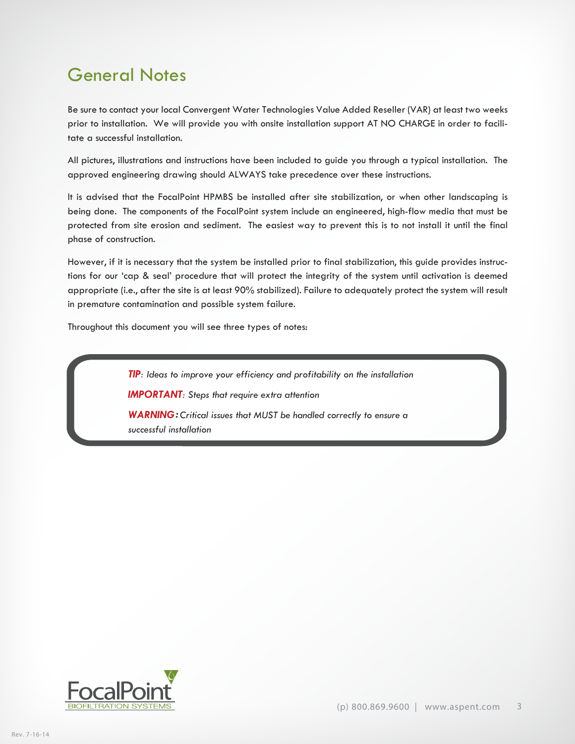## General Notes

Be sure to contact your local Convergent Water Technologies Value Added Reseller (VAR) at least two weeks prior to installation. We will provide you with onsite installation support AT NO CHARGE in order to facilitate a successful installation.

All pictures, illustrations and instructions have been included to guide you through a typical installation. The approved engineering drawing should ALWAYS take precedence over these instructions.

It is advised that the FocalPoint HPMBS be installed after site stabilization, or when other landscaping is being done. The components of the FocalPoint system include an engineered, high-flow media that must be protected from site erosion and sediment. The easiest way to prevent this is to not install it until the final phase of construction.

However, if it is necessary that the system be installed prior to final stabilization, this guide provides instructions for our 'cap & seal' procedure that will protect the integrity of the system until activation is deemed appropriate (i.e., after the site is at least 90% stabilized). Failure to adequately protect the system will result in premature contamination and possible system failure.

Throughout this document you will see three types of notes:

*TIP: Ideas to improve your efficiency and profitability on the installation IMPORTANT: Steps that require extra attention WARNING: Critical issues that MUST be handled correctly to ensure a successful installation* 

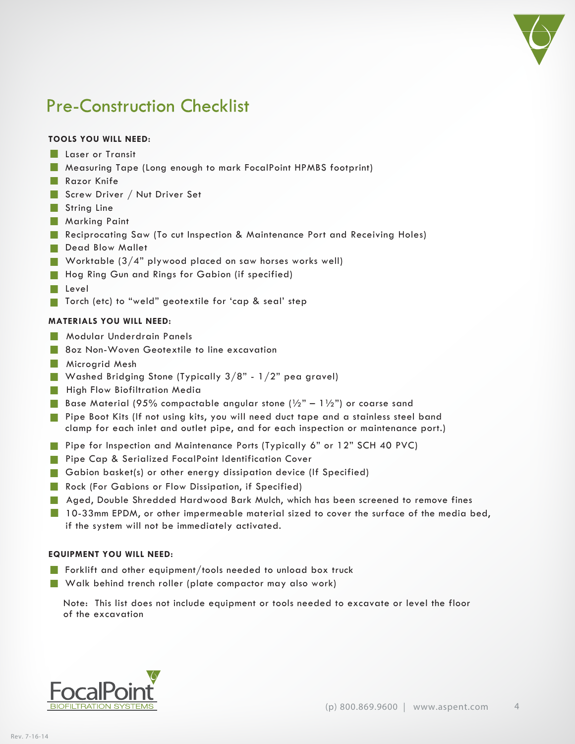

## Pre-Construction Checklist

#### **TOOLS YOU WILL NEED:**

- **Laser or Transit**
- Measuring Tape (Long enough to mark FocalPoint HPMBS footprint)
- **Razor Knife**
- Screw Driver / Nut Driver Set
- String Line
- **Marking Paint**
- Reciprocating Saw (To cut Inspection & Maintenance Port and Receiving Holes)
- Dead Blow Mallet
- Worktable  $(3/4"$  plywood placed on saw horses works well)
- Hog Ring Gun and Rings for Gabion (if specified)
- Level
- Torch (etc) to "weld" geotextile for 'cap & seal' step

#### **MATERIALS YOU WILL NEED:**

- **Modular Underdrain Panels**
- **8oz Non-Woven Geotextile to line excavation**
- **Microgrid Mesh**
- Washed Bridging Stone (Typically  $3/8$ "  $1/2$ " pea gravel)
- **High Flow Biofiltration Media**
- Base Material (95% compactable angular stone ( $\frac{1}{2}$ " 1 $\frac{1}{2}$ ") or coarse sand
- Pipe Boot Kits (If not using kits, you will need duct tape and a stainless steel band clamp for each inlet and outlet pipe, and for each inspection or maintenance port.)
- **Pipe for Inspection and Maintenance Ports (Typically 6" or 12" SCH 40 PVC)**
- **Pipe Cap & Serialized FocalPoint Identification Cover**
- Gabion basket(s) or other energy dissipation device (If Specified)
- **Rock (For Gabions or Flow Dissipation, if Specified)**
- **Aged, Double Shredded Hardwood Bark Mulch, which has been screened to remove fines**
- 10-33mm EPDM, or other impermeable material sized to cover the surface of the media bed, if the system will not be immediately activated.

#### **EQUIPMENT YOU WILL NEED:**

- **Forklift and other equipment/tools needed to unload box truck**
- Walk behind trench roller (plate compactor may also work)

Note: This list does not include equipment or tools needed to excavate or level the floor of the excavation

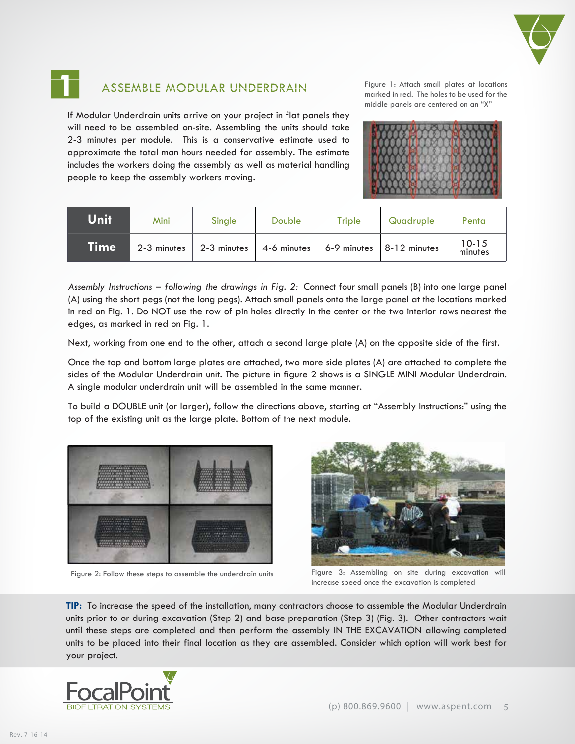



### ASSEMBLE MODULAR UNDERDRAIN

If Modular Underdrain units arrive on your project in flat panels they will need to be assembled on-site. Assembling the units should take 2-3 minutes per module. This is a conservative estimate used to approximate the total man hours needed for assembly. The estimate includes the workers doing the assembly as well as material handling people to keep the assembly workers moving.

Figure 1: Attach small plates at locations marked in red. The holes to be used for the middle panels are centered on an "X"



| Unit  | Mini        | Single      | Double      | Triple      | Quadruple      | Penta                |
|-------|-------------|-------------|-------------|-------------|----------------|----------------------|
| Timeˈ | 2-3 minutes | 2-3 minutes | 4-6 minutes | 6-9 minutes | $8-12$ minutes | $10 - 15$<br>minutes |

*Assembly Instructions – following the drawings in Fig. 2:* Connect four small panels (B) into one large panel (A) using the short pegs (not the long pegs). Attach small panels onto the large panel at the locations marked in red on Fig. 1. Do NOT use the row of pin holes directly in the center or the two interior rows nearest the edges, as marked in red on Fig. 1.

Next, working from one end to the other, attach a second large plate (A) on the opposite side of the first.

Once the top and bottom large plates are attached, two more side plates (A) are attached to complete the sides of the Modular Underdrain unit. The picture in figure 2 shows is a SINGLE MINI Modular Underdrain. A single modular underdrain unit will be assembled in the same manner.

To build a DOUBLE unit (or larger), follow the directions above, starting at "Assembly Instructions:" using the top of the existing unit as the large plate. Bottom of the next module.





Figure 2: Follow these steps to assemble the underdrain units Figure 3: Assembling on site during excavation will increase speed once the excavation is completed

**TIP:** To increase the speed of the installation, many contractors choose to assemble the Modular Underdrain units prior to or during excavation (Step 2) and base preparation (Step 3) (Fig. 3). Other contractors wait until these steps are completed and then perform the assembly IN THE EXCAVATION allowing completed units to be placed into their final location as they are assembled. Consider which option will work best for your project.

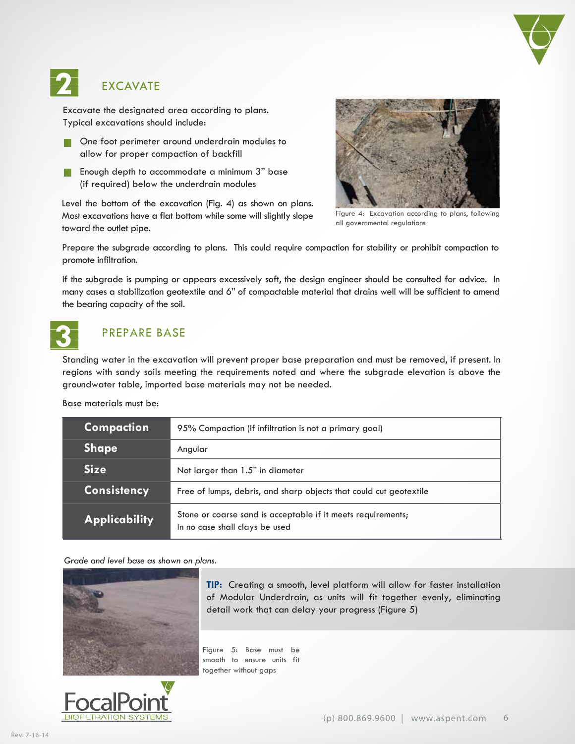

## EXCAVATE

Excavate the designated area according to plans. Typical excavations should include:

- **One foot perimeter around underdrain modules to** allow for proper compaction of backfill
- **Enough depth to accommodate a minimum 3" base** (if required) below the underdrain modules

Level the bottom of the excavation (Fig. 4) as shown on plans. Most excavations have a flat bottom while some will slightly slope toward the outlet pipe.



Figure 4: Excavation according to plans, following all governmental regulations

Prepare the subgrade according to plans. This could require compaction for stability or prohibit compaction to promote infiltration.

If the subgrade is pumping or appears excessively soft, the design engineer should be consulted for advice. In many cases a stabilization geotextile and 6" of compactable material that drains well will be sufficient to amend the bearing capacity of the soil.



**2** 

### PREPARE BASE

Standing water in the excavation will prevent proper base preparation and must be removed, if present. In regions with sandy soils meeting the requirements noted and where the subgrade elevation is above the groundwater table, imported base materials may not be needed.

#### Base materials must be:

| <b>Compaction</b>    | 95% Compaction (If infiltration is not a primary goal)                                         |  |  |
|----------------------|------------------------------------------------------------------------------------------------|--|--|
| <b>Shape</b>         | Angular                                                                                        |  |  |
| <b>Size</b>          | Not larger than 1.5" in diameter                                                               |  |  |
| <b>Consistency</b>   | Free of lumps, debris, and sharp objects that could cut geotextile                             |  |  |
| <b>Applicability</b> | Stone or coarse sand is acceptable if it meets requirements;<br>In no case shall clays be used |  |  |

#### *Grade and level base as shown on plans.*





**TIP:** Creating a smooth, level platform will allow for faster installation of Modular Underdrain, as units will fit together evenly, eliminating detail work that can delay your progress (Figure 5)

Figure 5: Base must be smooth to ensure units fit together without gaps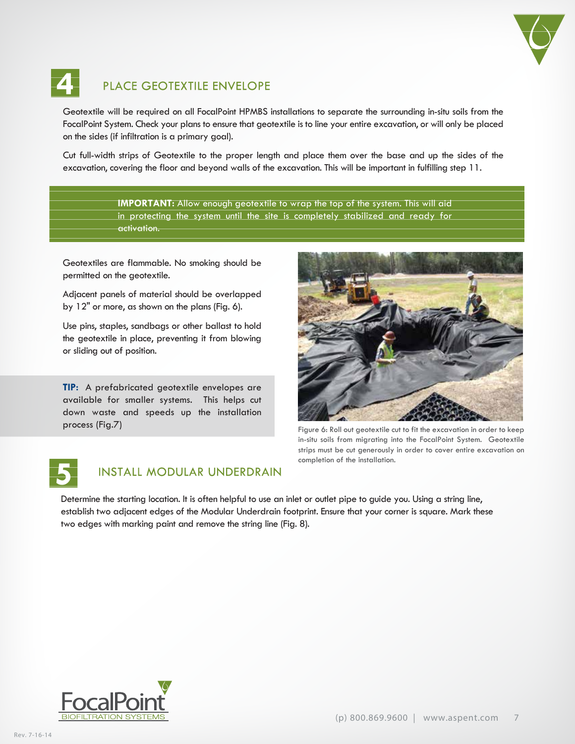

## PLACE GEOTEXTILE ENVELOPE

Geotextile will be required on all FocalPoint HPMBS installations to separate the surrounding in-situ soils from the FocalPoint System. Check your plans to ensure that geotextile is to line your entire excavation, or will only be placed on the sides (if infiltration is a primary goal).

Cut full-width strips of Geotextile to the proper length and place them over the base and up the sides of the excavation, covering the floor and beyond walls of the excavation. This will be important in fulfilling step 11.

> **IMPORTANT:** Allow enough geotextile to wrap the top of the system. This will aid in protecting the system until the site is completely stabilized and ready for activation.

Geotextiles are flammable. No smoking should be permitted on the geotextile.

Adjacent panels of material should be overlapped by 12" or more, as shown on the plans (Fig. 6).

Use pins, staples, sandbags or other ballast to hold the geotextile in place, preventing it from blowing or sliding out of position.

**TIP:** A prefabricated geotextile envelopes are available for smaller systems. This helps cut down waste and speeds up the installation process (Fig.7)



Figure 6: Roll out geotextile cut to fit the excavation in order to keep in-situ soils from migrating into the FocalPoint System. Geotextile strips must be cut generously in order to cover entire excavation on completion of the installation.



**4** 

### INSTALL MODULAR UNDERDRAIN

Determine the starting location. It is often helpful to use an inlet or outlet pipe to guide you. Using a string line, establish two adjacent edges of the Modular Underdrain footprint. Ensure that your corner is square. Mark these two edges with marking paint and remove the string line (Fig. 8).

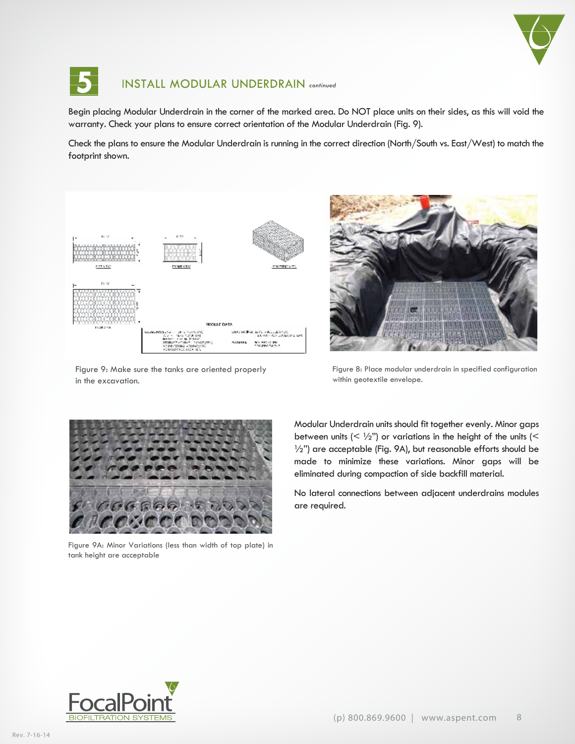



### **5** INSTALL MODULAR UNDERDRAIN *continued*

Begin placing Modular Underdrain in the corner of the marked area. Do NOT place units on their sides, as this will void the warranty. Check your plans to ensure correct orientation of the Modular Underdrain (Fig. 9).

Check the plans to ensure the Modular Underdrain is running in the correct direction (North/South vs. East/West) to match the footprint shown.



Figure 9: Make sure the tanks are oriented properly in the excavation.



Figure 8: Place modular underdrain in specified configuration within geotextile envelope.



Figure 9A: Minor Variations (less than width of top plate) in tank height are acceptable

Modular Underdrain units should fit together evenly. Minor gaps between units  $( $\frac{1}{2}$ )$  or variations in the height of the units  $(<$  $\frac{1}{2}$ ") are acceptable (Fig. 9A), but reasonable efforts should be made to minimize these variations. Minor gaps will be eliminated during compaction of side backfill material.

No lateral connections between adjacent underdrains modules are required.

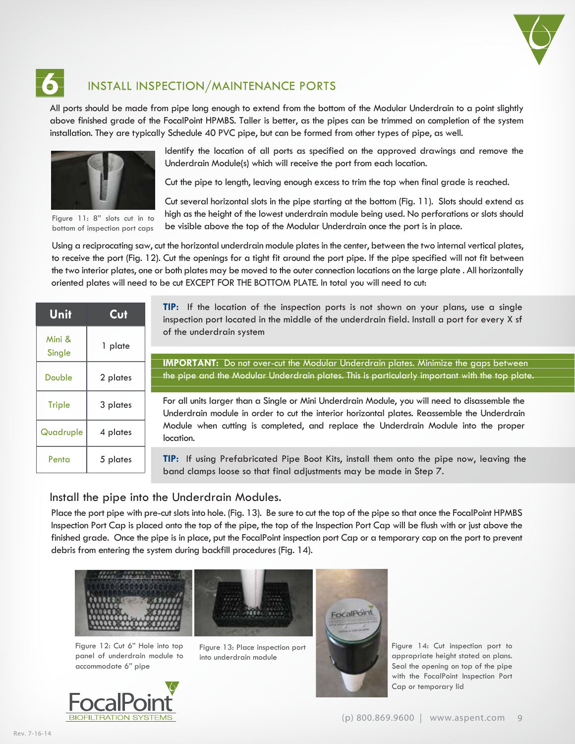

## **6** INSTALL INSPECTION/MAINTENANCE PORTS

All ports should be made from pipe long enough to extend from the bottom of the Modular Underdrain to a point slightly above finished grade of the FocalPoint HPMBS. Taller is better, as the pipes can be trimmed on completion of the system installation. They are typically Schedule 40 PVC pipe, but can be formed from other types of pipe, as well.



Figure 11: 8" slots cut in to bottom of inspection port caps

Identify the location of all ports as specified on the approved drawings and remove the Underdrain Module(s) which will receive the port from each location.

Cut the pipe to length, leaving enough excess to trim the top when final grade is reached.

Cut several horizontal slots in the pipe starting at the bottom (Fig. 11). Slots should extend as high as the height of the lowest underdrain module being used. No perforations or slots should be visible above the top of the Modular Underdrain once the port is in place.

Using a reciprocating saw, cut the horizontal underdrain module plates in the center, between the two internal vertical plates, to receive the port (Fig. 12). Cut the openings for a tight fit around the port pipe. If the pipe specified will not fit between the two interior plates, one or both plates may be moved to the outer connection locations on the large plate . All horizontally oriented plates will need to be cut EXCEPT FOR THE BOTTOM PLATE. In total you will need to cut:

| Unit             | Cut      |  |
|------------------|----------|--|
| Mini &<br>Single | 1 plate  |  |
| Double           | 2 plates |  |
| <b>Triple</b>    | 3 plates |  |
| Quadruple        | 4 plates |  |
| Penta            | 5 plates |  |

**TIP:** If the location of the inspection ports is not shown on your plans, use a single inspection port located in the middle of the underdrain field. Install a port for every X sf of the underdrain system

**IMPORTANT:** Do not over-cut the Modular Underdrain plates. Minimize the gaps between the pipe and the Modular Underdrain plates. This is particularly important with the top plate.

For all units larger than a Single or Mini Underdrain Module, you will need to disassemble the Underdrain module in order to cut the interior horizontal plates. Reassemble the Underdrain Module when cutting is completed, and replace the Underdrain Module into the proper location.

**TIP:** If using Prefabricated Pipe Boot Kits, install them onto the pipe now, leaving the band clamps loose so that final adjustments may be made in Step 7.

#### Install the pipe into the Underdrain Modules.

Place the port pipe with pre-cut slots into hole. (Fig. 13). Be sure to cut the top of the pipe so that once the FocalPoint HPMBS Inspection Port Cap is placed onto the top of the pipe, the top of the Inspection Port Cap will be flush with or just above the finished grade. Once the pipe is in place, put the FocalPoint inspection port Cap or a temporary cap on the port to prevent debris from entering the system during backfill procedures (Fig. 14).



Figure 12: Cut 6" Hole into top panel of underdrain module to accommodate 6" pipe



Figure 13: Place inspection port into underdrain module



Figure 14: Cut inspection port to appropriate height stated on plans. Seal the opening on top of the pipe with the FocalPoint Inspection Port Cap or temporary lid

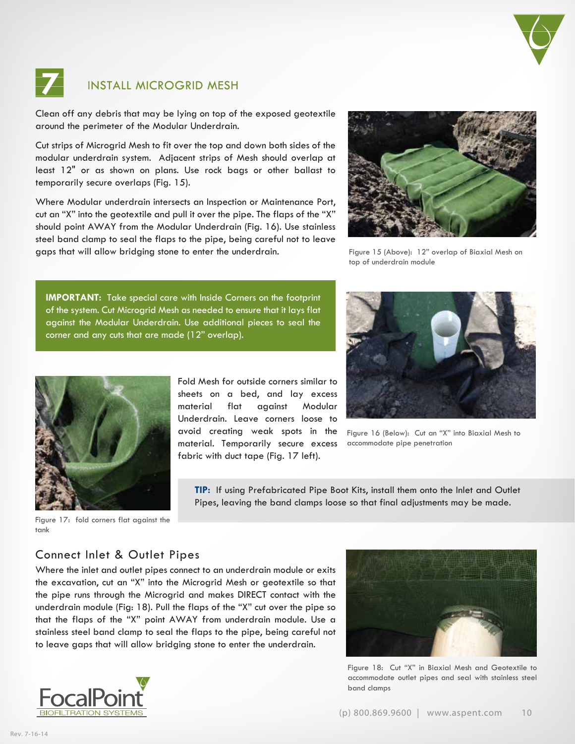



## **7** INSTALL MICROGRID MESH

Clean off any debris that may be lying on top of the exposed geotextile around the perimeter of the Modular Underdrain.

Cut strips of Microgrid Mesh to fit over the top and down both sides of the modular underdrain system. Adjacent strips of Mesh should overlap at least 12" or as shown on plans. Use rock bags or other ballast to temporarily secure overlaps (Fig. 15).

Where Modular underdrain intersects an Inspection or Maintenance Port, cut an "X" into the geotextile and pull it over the pipe. The flaps of the "X" should point AWAY from the Modular Underdrain (Fig. 16). Use stainless steel band clamp to seal the flaps to the pipe, being careful not to leave gaps that will allow bridging stone to enter the underdrain.



Figure 15 (Above): 12" overlap of Biaxial Mesh on top of underdrain module

**IMPORTANT:** Take special care with Inside Corners on the footprint of the system. Cut Microgrid Mesh as needed to ensure that it lays flat against the Modular Underdrain. Use additional pieces to seal the corner and any cuts that are made (12" overlap).



Fold Mesh for outside corners similar to sheets on a bed, and lay excess material flat against Modular Underdrain. Leave corners loose to avoid creating weak spots in the material. Temporarily secure excess fabric with duct tape (Fig. 17 left).



Figure 16 (Below): Cut an "X" into Biaxial Mesh to accommodate pipe penetration

**TIP:** If using Prefabricated Pipe Boot Kits, install them onto the Inlet and Outlet Pipes, leaving the band clamps loose so that final adjustments may be made.

Figure 17: fold corners flat against the tank

### Connect Inlet & Outlet Pipes

Where the inlet and outlet pipes connect to an underdrain module or exits the excavation, cut an "X" into the Microgrid Mesh or geotextile so that the pipe runs through the Microgrid and makes DIRECT contact with the underdrain module (Fig: 18). Pull the flaps of the "X" cut over the pipe so that the flaps of the "X" point AWAY from underdrain module. Use a stainless steel band clamp to seal the flaps to the pipe, being careful not to leave gaps that will allow bridging stone to enter the underdrain.





Figure 18: Cut "X" in Biaxial Mesh and Geotextile to accommodate outlet pipes and seal with stainless steel band clamps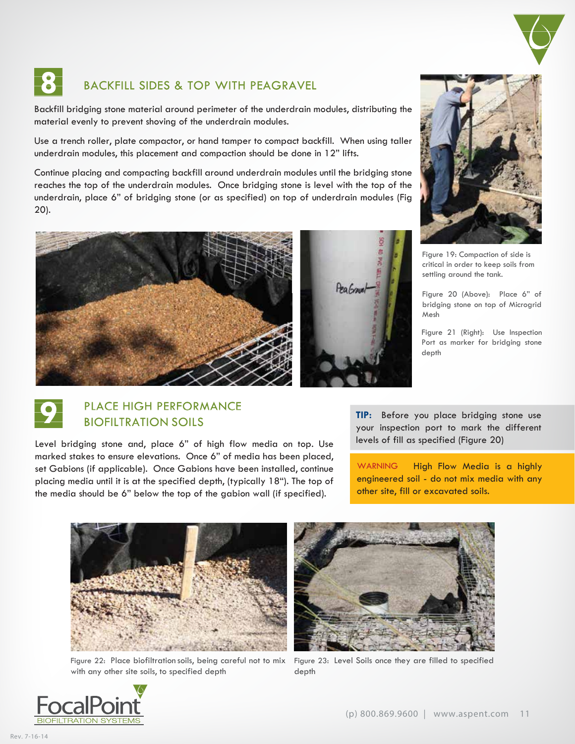

## BACKFILL SIDES & TOP WITH PEAGRAVEL

Backfill bridging stone material around perimeter of the underdrain modules, distributing the material evenly to prevent shoving of the underdrain modules.

Use a trench roller, plate compactor, or hand tamper to compact backfill. When using taller underdrain modules, this placement and compaction should be done in 12" lifts.

Continue placing and compacting backfill around underdrain modules until the bridging stone reaches the top of the underdrain modules. Once bridging stone is level with the top of the underdrain, place 6" of bridging stone (or as specified) on top of underdrain modules (Fig 20).





Figure 19: Compaction of side is critical in order to keep soils from settling around the tank.

Figure 20 (Above): Place 6" of bridging stone on top of Microgrid Mesh

Figure 21 (Right): Use Inspection Port as marker for bridging stone depth

#### **9** PLACE HIGH PERFORMANCE BIOFILTRATION SOILS

Level bridging stone and, place 6" of high flow media on top. Use marked stakes to ensure elevations. Once 6" of media has been placed, set Gabions (if applicable). Once Gabions have been installed, continue placing media until it is at the specified depth, (typically 18"). The top of the media should be 6" below the top of the gabion wall (if specified).

**TIP:** Before you place bridging stone use your inspection port to mark the different levels of fill as specified (Figure 20)

WARNING High Flow Media is a highly engineered soil - do not mix media with any other site, fill or excavated soils.



Figure 22: Place biofiltration soils, being careful not to mix with any other site soils, to specified depth



Figure 23: Level Soils once they are filled to specified depth

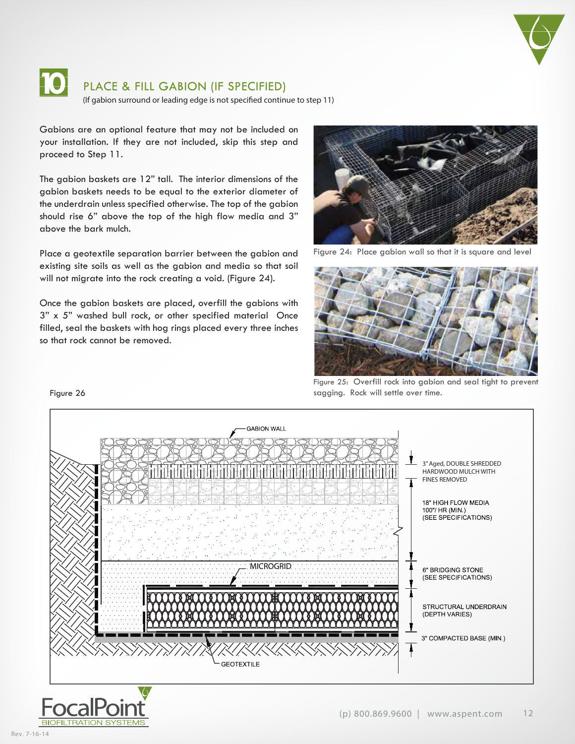



### **10** PLACE & FILL GABION (IF SPECIFIED)

(If gabion surround or leading edge is not specified continue to step 11)

Gabions are an optional feature that may not be included on your installation. If they are not included, skip this step and proceed to Step 11.

The gabion baskets are 12" tall. The interior dimensions of the gabion baskets needs to be equal to the exterior diameter of the underdrain unless specified otherwise. The top of the gabion should rise 6" above the top of the high flow media and 3" above the bark mulch.

Place a geotextile separation barrier between the gabion and existing site soils as well as the gabion and media so that soil will not migrate into the rock creating a void. (Figure 24).

Once the gabion baskets are placed, overfill the gabions with 3" x 5" washed bull rock, or other specified material Once filled, seal the baskets with hog rings placed every three inches so that rock cannot be removed.



Figure 24: Place gabion wall so that it is square and level



Figure 25: Overfill rock into gabion and seal tight to prevent sagging. Rock will settle over time.



#### Figure 26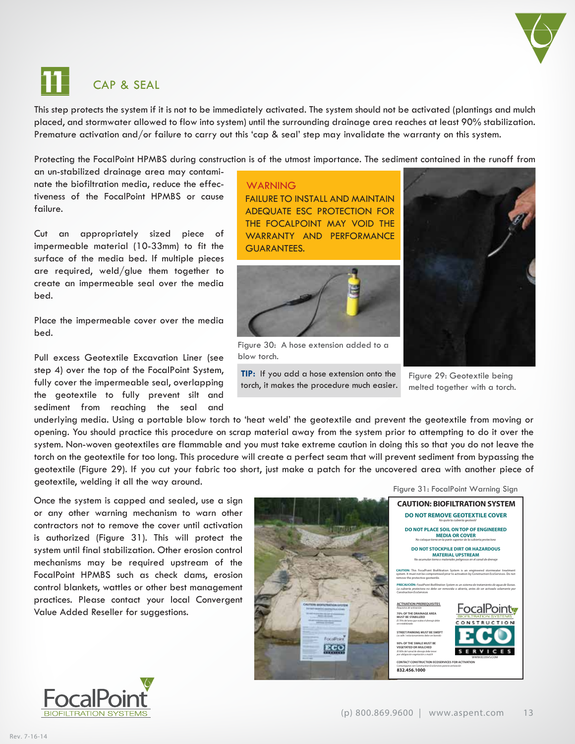

# **11** CAP & SEAL

This step protects the system if it is not to be immediately activated. The system should not be activated (plantings and mulch placed, and stormwater allowed to flow into system) until the surrounding drainage area reaches at least 90% stabilization. Premature activation and/or failure to carry out this 'cap & seal' step may invalidate the warranty on this system.

Protecting the FocalPoint HPMBS during construction is of the utmost importance. The sediment contained in the runoff from

an un-stabilized drainage area may contaminate the biofiltration media, reduce the effectiveness of the FocalPoint HPMBS or cause failure.

Cut an appropriately sized piece of impermeable material (10-33mm) to fit the surface of the media bed. If multiple pieces are required, weld/glue them together to create an impermeable seal over the media bed.

Place the impermeable cover over the media bed.

Pull excess Geotextile Excavation Liner (see step 4) over the top of the FocalPoint System, fully cover the impermeable seal, overlapping the geotextile to fully prevent silt and sediment from reaching the seal and

**WARNING** FAILURE TO INSTALL AND MAINTAIN ADEQUATE ESC PROTECTION FOR THE FOCALPOINT MAY VOID THE WARRANTY AND PERFORMANCE GUARANTEES.



Figure 30: A hose extension added to a blow torch.

**TIP:** If you add a hose extension onto the torch, it makes the procedure much easier.



Figure 29: Geotextile being melted together with a torch.

underlying media. Using a portable blow torch to 'heat weld' the geotextile and prevent the geotextile from moving or opening. You should practice this procedure on scrap material away from the system prior to attempting to do it over the system. Non-woven geotextiles are flammable and you must take extreme caution in doing this so that you do not leave the torch on the geotextile for too long. This procedure will create a perfect seam that will prevent sediment from bypassing the geotextile (Figure 29). If you cut your fabric too short, just make a patch for the uncovered area with another piece of geotextile, welding it all the way around.

Once the system is capped and sealed, use a sign or any other warning mechanism to warn other contractors not to remove the cover until activation is authorized (Figure 31). This will protect the system until final stabilization. Other erosion control mechanisms may be required upstream of the FocalPoint HPMBS such as check dams, erosion control blankets, wattles or other best management practices. Please contact your local Convergent Value Added Reseller for suggestions.



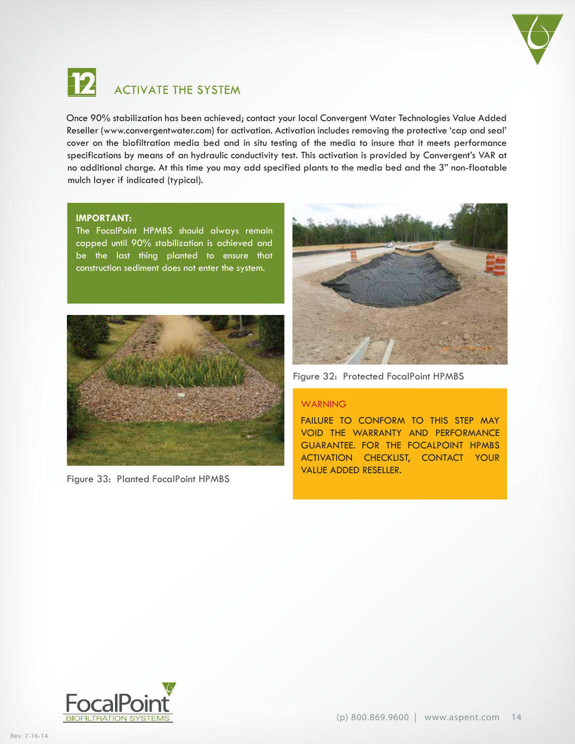



### **12** ACTIVATE THE SYSTEM

Once 90% stabilization has been achieved; contact your local Convergent Water Technologies Value Added Reseller (www.convergentwater.com) for activation. Activation includes removing the protective 'cap and seal' cover on the biofiltration media bed and in situ testing of the media to insure that it meets performance specifications by means of an hydraulic conductivity test. This activation is provided by Convergent's VAR at no additional charge. At this time you may add specified plants to the media bed and the 3" non-floatable mulch layer if indicated (typical).

#### **IMPORTANT:**

The FocalPoint HPMBS should always remain capped until 90% stabilization is achieved and be the last thing planted to ensure that construction sediment does not enter the system.



Figure 33: Planted FocalPoint HPMBS



Figure 32: Protected FocalPoint HPMBS

#### WARNING

FAILURE TO CONFORM TO THIS STEP MAY VOID THE WARRANTY AND PERFORMANCE GUARANTEE. FOR THE FOCALPOINT HPMBS ACTIVATION CHECKLIST, CONTACT YOUR VALUE ADDED RESELLER.

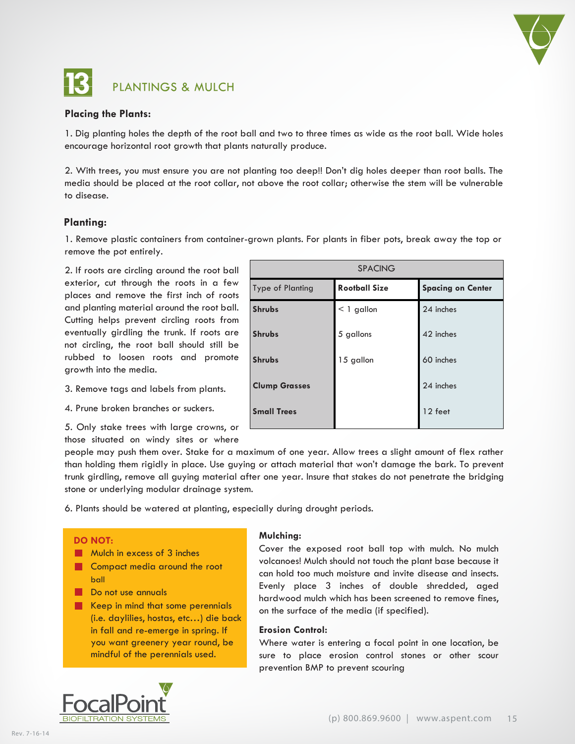

## **13** PLANTINGS & MULCH

## **Placing the Plants:**

1. Dig planting holes the depth of the root ball and two to three times as wide as the root ball. Wide holes encourage horizontal root growth that plants naturally produce.

2. With trees, you must ensure you are not planting too deep!! Don't dig holes deeper than root balls. The media should be placed at the root collar, not above the root collar; otherwise the stem will be vulnerable to disease.

#### **Planting:**

1. Remove plastic containers from container-grown plants. For plants in fiber pots, break away the top or remove the pot entirely.

2. If roots are circling around the root ball exterior, cut through the roots in a few places and remove the first inch of roots and planting material around the root ball. Cutting helps prevent circling roots from eventually girdling the trunk. If roots are not circling, the root ball should still be rubbed to loosen roots and promote growth into the media.

3. Remove tags and labels from plants.

4. Prune broken branches or suckers.

5. Only stake trees with large crowns, or those situated on windy sites or where

| <b>SPACING</b>       |                      |                          |  |  |  |  |
|----------------------|----------------------|--------------------------|--|--|--|--|
| Type of Planting     | <b>Rootball Size</b> | <b>Spacing on Center</b> |  |  |  |  |
| <b>Shrubs</b>        | $<$ 1 gallon         | 24 inches                |  |  |  |  |
| <b>Shrubs</b>        | 5 gallons            | 42 inches                |  |  |  |  |
| <b>Shrubs</b>        | 15 gallon            | 60 inches                |  |  |  |  |
| <b>Clump Grasses</b> |                      | 24 inches                |  |  |  |  |
| <b>Small Trees</b>   |                      | 12 feet                  |  |  |  |  |

people may push them over. Stake for a maximum of one year. Allow trees a slight amount of flex rather than holding them rigidly in place. Use guying or attach material that won't damage the bark. To prevent trunk girdling, remove all guying material after one year. Insure that stakes do not penetrate the bridging stone or underlying modular drainage system.

6. Plants should be watered at planting, especially during drought periods.

#### **DO NOT:**

**Mulch in excess of 3 inches** 

- **Compact media around the root** ball
- Do not use annuals
- Keep in mind that some perennials (i.e. daylilies, hostas, etc…) die back in fall and re-emerge in spring. If you want greenery year round, be mindful of the perennials used.

#### **Mulching:**

Cover the exposed root ball top with mulch. No mulch volcanoes! Mulch should not touch the plant base because it can hold too much moisture and invite disease and insects. Evenly place 3 inches of double shredded, aged hardwood mulch which has been screened to remove fines, on the surface of the media (if specified).

#### **Erosion Control:**

Where water is entering a focal point in one location, be sure to place erosion control stones or other scour prevention BMP to prevent scouring

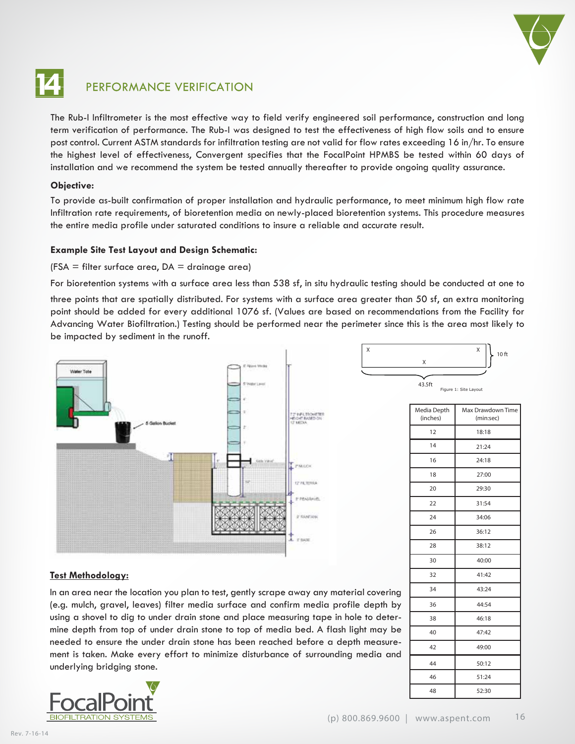

### **14** PERFORMANCE VERIFICATION

The Rub-I Infiltrometer is the most effective way to field verify engineered soil performance, construction and long term verification of performance. The Rub-I was designed to test the effectiveness of high flow soils and to ensure post control. Current ASTM standards for infiltration testing are not valid for flow rates exceeding 16 in/hr. To ensure the highest level of effectiveness, Convergent specifies that the FocalPoint HPMBS be tested within 60 days of installation and we recommend the system be tested annually thereafter to provide ongoing quality assurance.

#### **Objective:**

To provide as-built confirmation of proper installation and hydraulic performance, to meet minimum high flow rate Infiltration rate requirements, of bioretention media on newly-placed bioretention systems. This procedure measures the entire media profile under saturated conditions to insure a reliable and accurate result.

#### **Example Site Test Layout and Design Schematic:**

#### $(FSA = filter surface area, DA = drainage area)$

For bioretention systems with a surface area less than 538 sf, in situ hydraulic testing should be conducted at one to

three points that are spatially distributed. For systems with a surface area greater than 50 sf, an extra monitoring point should be added for every additional 1076 sf. (Values are based on recommendations from the Facility for Advancing Water Biofiltration.) Testing should be performed near the perimeter since this is the area most likely to be impacted by sediment in the runoff.



#### Figure 1: Site Layou X 43.5ft Media Depth (inches) Max Drawdown Time (min:sec) 12 16 14 18 20 22  $24$ 26 28 30 32 34 36 18:18 21:24 24:18 27:00 29:30 31:54 34:06 36:12 38:12 40:00 41:42 43:24 44:54 38 46:18 40 47:42 42 49:00 44 50:12 46 51:24 48 52:30

 $X \qquad \qquad \qquad \times \qquad \bigg\downarrow$  10 ft

#### **Test Methodology:**

In an area near the location you plan to test, gently scrape away any material covering (e.g. mulch, gravel, leaves) filter media surface and confirm media profile depth by using a shovel to dig to under drain stone and place measuring tape in hole to determine depth from top of under drain stone to top of media bed. A flash light may be needed to ensure the under drain stone has been reached before a depth measurement is taken. Make every effort to minimize disturbance of surrounding media and underlying bridging stone.